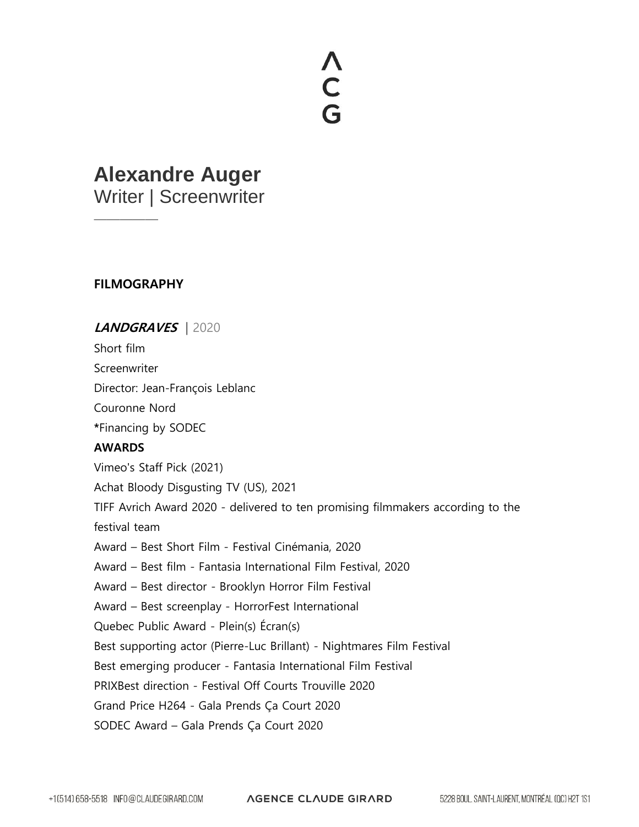# **NCG**

# **Alexandre Auger**

Writer | Screenwriter

### **FILMOGRAPHY**

—————

## **LANDGRAVES** | 2020

Short film

**Screenwriter** 

Director: Jean-François Leblanc

Couronne Nord

**\***Financing by SODEC

#### **AWARDS**

Vimeo's Staff Pick (2021)

Achat Bloody Disgusting TV (US), 2021

TIFF Avrich Award 2020 - delivered to ten promising filmmakers according to the festival team

Award – Best Short Film - Festival Cinémania, 2020

Award – Best film - Fantasia International Film Festival, 2020

Award – Best director - Brooklyn Horror Film Festival

Award – Best screenplay - HorrorFest International

Quebec Public Award - Plein(s) Écran(s)

Best supporting actor (Pierre-Luc Brillant) - Nightmares Film Festival

Best emerging producer - Fantasia International Film Festival

PRIXBest direction - Festival Off Courts Trouville 2020

Grand Price H264 - Gala Prends Ça Court 2020

SODEC Award – Gala Prends Ça Court 2020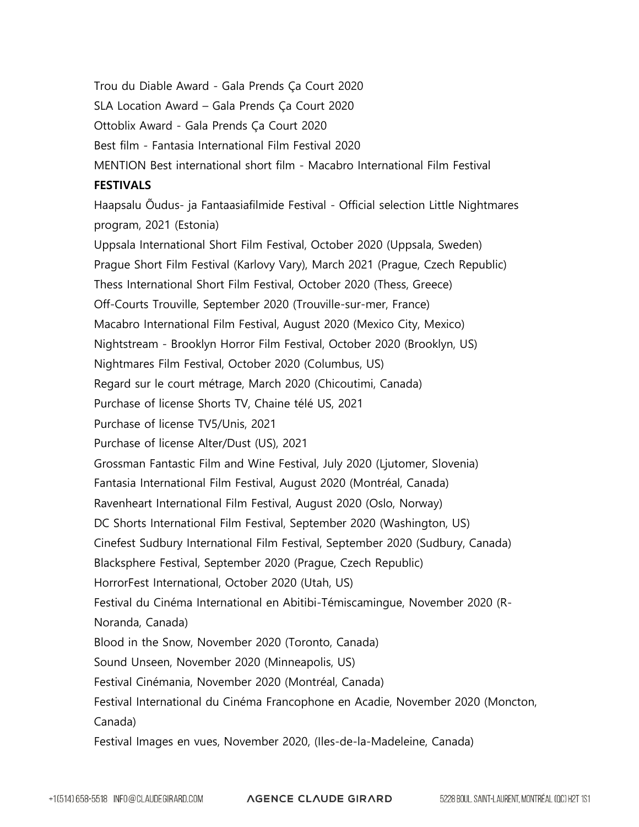Trou du Diable Award - Gala Prends Ça Court 2020 SLA Location Award – Gala Prends Ça Court 2020 Ottoblix Award - Gala Prends Ça Court 2020 Best film - Fantasia International Film Festival 2020 MENTION Best international short film - Macabro International Film Festival **FESTIVALS** Haapsalu Õudus- ja Fantaasiafilmide Festival - Official selection Little Nightmares program, 2021 (Estonia) Uppsala International Short Film Festival, October 2020 (Uppsala, Sweden) Prague Short Film Festival (Karlovy Vary), March 2021 (Prague, Czech Republic) Thess International Short Film Festival, October 2020 (Thess, Greece) Off-Courts Trouville, September 2020 (Trouville-sur-mer, France) Macabro International Film Festival, August 2020 (Mexico City, Mexico) Nightstream - Brooklyn Horror Film Festival, October 2020 (Brooklyn, US) Nightmares Film Festival, October 2020 (Columbus, US) Regard sur le court métrage, March 2020 (Chicoutimi, Canada) Purchase of license Shorts TV, Chaine télé US, 2021 Purchase of license TV5/Unis, 2021 Purchase of license Alter/Dust (US), 2021 Grossman Fantastic Film and Wine Festival, July 2020 (Ljutomer, Slovenia) Fantasia International Film Festival, August 2020 (Montréal, Canada) Ravenheart International Film Festival, August 2020 (Oslo, Norway) DC Shorts International Film Festival, September 2020 (Washington, US) Cinefest Sudbury International Film Festival, September 2020 (Sudbury, Canada) Blacksphere Festival, September 2020 (Prague, Czech Republic) HorrorFest International, October 2020 (Utah, US) Festival du Cinéma International en Abitibi-Témiscamingue, November 2020 (R-Noranda, Canada) Blood in the Snow, November 2020 (Toronto, Canada) Sound Unseen, November 2020 (Minneapolis, US) Festival Cinémania, November 2020 (Montréal, Canada) Festival International du Cinéma Francophone en Acadie, November 2020 (Moncton, Canada) Festival Images en vues, November 2020, (Iles-de-la-Madeleine, Canada)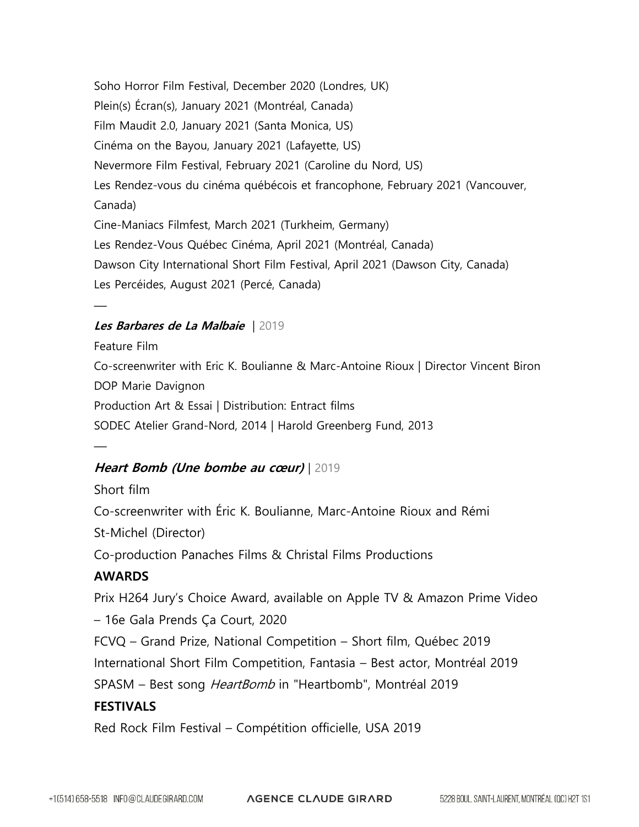Soho Horror Film Festival, December 2020 (Londres, UK) Plein(s) Écran(s), January 2021 (Montréal, Canada) Film Maudit 2.0, January 2021 (Santa Monica, US) Cinéma on the Bayou, January 2021 (Lafayette, US) Nevermore Film Festival, February 2021 (Caroline du Nord, US) Les Rendez-vous du cinéma québécois et francophone, February 2021 (Vancouver, Canada) Cine-Maniacs Filmfest, March 2021 (Turkheim, Germany) Les Rendez-Vous Québec Cinéma, April 2021 (Montréal, Canada) Dawson City International Short Film Festival, April 2021 (Dawson City, Canada) Les Percéides, August 2021 (Percé, Canada)

#### **Les Barbares de La Malbaie** | 2019

—

—

Feature Film Co-screenwriter with Eric K. Boulianne & Marc-Antoine Rioux | Director Vincent Biron DOP Marie Davignon Production Art & Essai | Distribution: Entract films SODEC Atelier Grand-Nord, 2014 | Harold Greenberg Fund, 2013

#### **Heart Bomb (Une bombe au cœur)** | 2019

Short film Co-screenwriter with Éric K. Boulianne, Marc-Antoine Rioux and Rémi St-Michel (Director) Co-production Panaches Films & Christal Films Productions **AWARDS** Prix H264 Jury's Choice Award, available on Apple TV & Amazon Prime Video – 16e Gala Prends Ça Court, 2020 FCVQ – Grand Prize, National Competition – Short film, Québec 2019 International Short Film Competition, Fantasia – Best actor, Montréal 2019 SPASM – Best song HeartBomb in "Heartbomb", Montréal 2019 **FESTIVALS** Red Rock Film Festival – Compétition officielle, USA 2019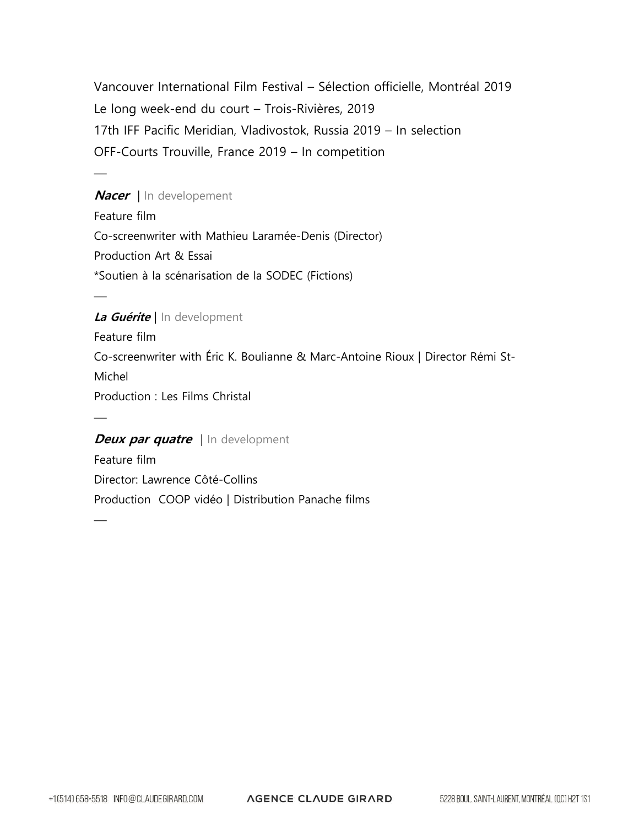Vancouver International Film Festival – Sélection officielle, Montréal 2019 Le long week-end du court – Trois-Rivières, 2019 17th IFF Pacific Meridian, Vladivostok, Russia 2019 – In selection OFF-Courts Trouville, France 2019 – In competition

**Nacer** | In developement Feature film Co-screenwriter with Mathieu Laramée-Denis (Director) Production Art & Essai \*Soutien à la scénarisation de la SODEC (Fictions)

#### **La Guérite** | In development

 $\frac{1}{\sqrt{2}}$ 

—

—

—

Feature film Co-screenwriter with Éric K. Boulianne & Marc-Antoine Rioux | Director Rémi St-Michel Production : Les Films Christal

#### **Deux par quatre** | In development

Feature film Director: Lawrence Côté-Collins Production COOP vidéo | Distribution Panache films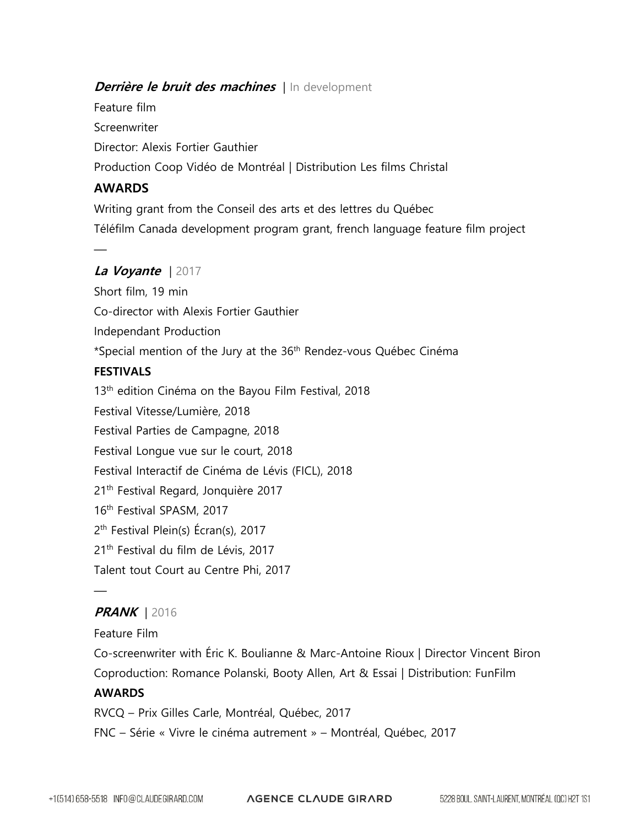#### **Derrière le bruit des machines** | In development

Feature film **Screenwriter** Director: Alexis Fortier Gauthier Production Coop Vidéo de Montréal | Distribution Les films Christal

#### **AWARDS**

—

Writing grant from the Conseil des arts et des lettres du Québec Téléfilm Canada development program grant, french language feature film project

#### **La Voyante** | 2017

Short film, 19 min Co-director with Alexis Fortier Gauthier Independant Production \*Special mention of the Jury at the 36th Rendez-vous Québec Cinéma **FESTIVALS** 13<sup>th</sup> edition Cinéma on the Bayou Film Festival, 2018 Festival Vitesse/Lumière, 2018 Festival Parties de Campagne, 2018 Festival Longue vue sur le court, 2018 Festival Interactif de Cinéma de Lévis (FICL), 2018 21<sup>th</sup> Festival Regard, Jonquière 2017 16<sup>th</sup> Festival SPASM, 2017 2 th Festival Plein(s) Écran(s), 2017 21<sup>th</sup> Festival du film de Lévis, 2017 Talent tout Court au Centre Phi, 2017

#### **PRANK** | 2016

Feature Film

—

Co-screenwriter with Éric K. Boulianne & Marc-Antoine Rioux | Director Vincent Biron Coproduction: Romance Polanski, Booty Allen, Art & Essai | Distribution: FunFilm

#### **AWARDS**

RVCQ – Prix Gilles Carle, Montréal, Québec, 2017

FNC – Série « Vivre le cinéma autrement » – Montréal, Québec, 2017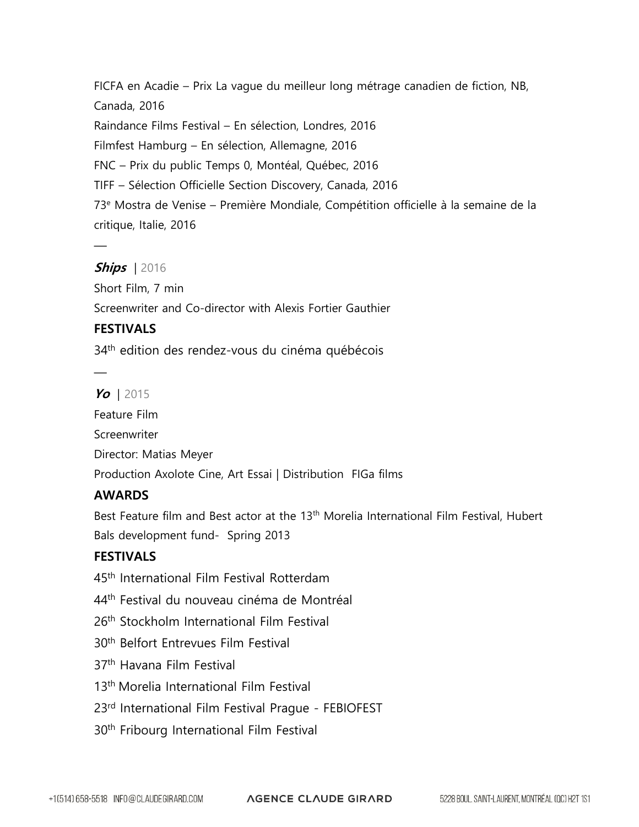FICFA en Acadie – Prix La vague du meilleur long métrage canadien de fiction, NB, Canada, 2016 Raindance Films Festival – En sélection, Londres, 2016 Filmfest Hamburg – En sélection, Allemagne, 2016 FNC – Prix du public Temps 0, Montéal, Québec, 2016 TIFF – Sélection Officielle Section Discovery, Canada, 2016 73<sup>e</sup> Mostra de Venise – Première Mondiale, Compétition officielle à la semaine de la critique, Italie, 2016

#### **Ships** | 2016

—

—

Short Film, 7 min Screenwriter and Co-director with Alexis Fortier Gauthier

#### **FESTIVALS**

34<sup>th</sup> edition des rendez-vous du cinéma québécois

#### **Yo** | 2015

Feature Film **Screenwriter** Director: Matias Meyer Production Axolote Cine, Art Essai | Distribution FIGa films

#### **AWARDS**

Best Feature film and Best actor at the 13<sup>th</sup> Morelia International Film Festival, Hubert Bals development fund- Spring 2013

#### **FESTIVALS**

45<sup>th</sup> International Film Festival Rotterdam

44<sup>th</sup> Festival du nouveau cinéma de Montréal

- 26<sup>th</sup> Stockholm International Film Festival
- 30th Belfort Entrevues Film Festival
- 37th Havana Film Festival
- 13th Morelia International Film Festival
- 23rd International Film Festival Prague FEBIOFEST
- 30th Fribourg International Film Festival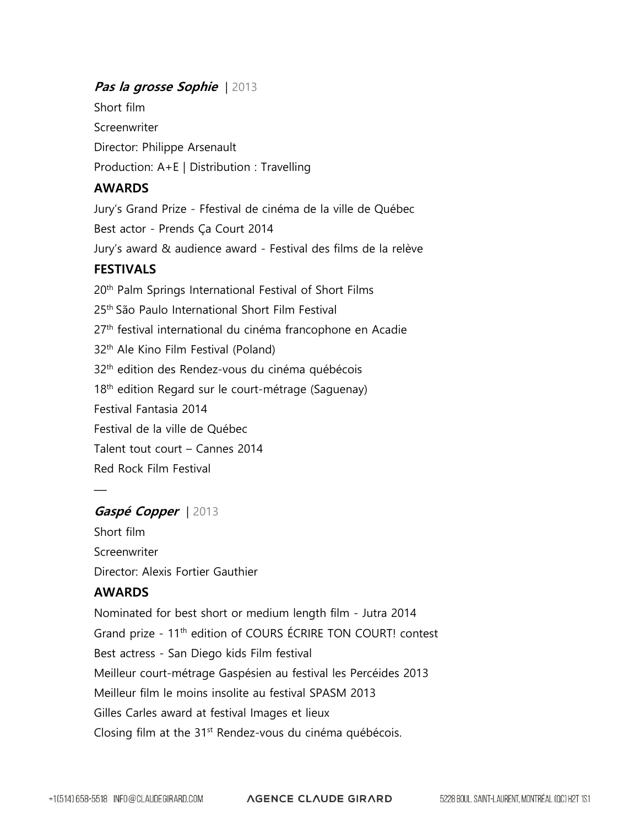#### **Pas la grosse Sophie** | 2013

Short film **Screenwriter** Director: Philippe Arsenault Production: A+E | Distribution : Travelling

#### **AWARDS**

Jury's Grand Prize - Ffestival de cinéma de la ville de Québec Best actor - Prends Ça Court 2014 Jury's award & audience award - Festival des films de la relève **FESTIVALS** 20<sup>th</sup> Palm Springs International Festival of Short Films 25th São Paulo International Short Film Festival 27<sup>th</sup> festival international du cinéma francophone en Acadie 32th Ale Kino Film Festival (Poland) 32th edition des Rendez-vous du cinéma québécois 18<sup>th</sup> edition Regard sur le court-métrage (Saguenay) Festival Fantasia 2014 Festival de la ville de Québec Talent tout court – Cannes 2014 Red Rock Film Festival

#### **Gaspé Copper** | 2013

Short film Screenwriter Director: Alexis Fortier Gauthier

#### **AWARDS**

 $\frac{1}{\sqrt{2}}$ 

Nominated for best short or medium length film - Jutra 2014 Grand prize - 11<sup>th</sup> edition of COURS ÉCRIRE TON COURT! contest Best actress - San Diego kids Film festival Meilleur court-métrage Gaspésien au festival les Percéides 2013 Meilleur film le moins insolite au festival SPASM 2013 Gilles Carles award at festival Images et lieux Closing film at the 31<sup>st</sup> Rendez-vous du cinéma québécois.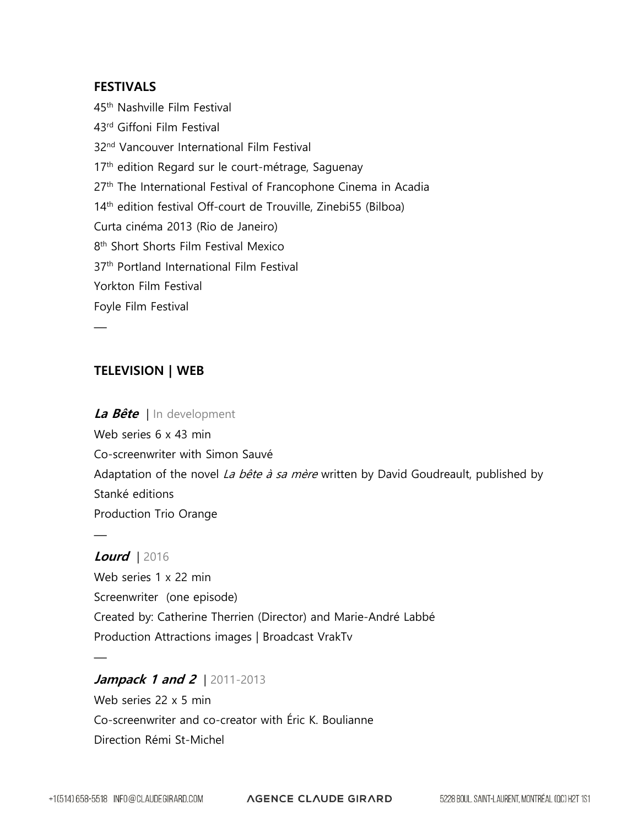#### **FESTIVALS**

45th Nashville Film Festival 43rd Giffoni Film Festival 32nd Vancouver International Film Festival 17<sup>th</sup> edition Regard sur le court-métrage, Saguenay 27<sup>th</sup> The International Festival of Francophone Cinema in Acadia 14<sup>th</sup> edition festival Off-court de Trouville, Zinebi55 (Bilboa) Curta cinéma 2013 (Rio de Janeiro) 8 th Short Shorts Film Festival Mexico 37<sup>th</sup> Portland International Film Festival Yorkton Film Festival Foyle Film Festival

#### **TELEVISION | WEB**

 $\frac{1}{\sqrt{2}}$ 

—

 $\frac{1}{\sqrt{2}}$ 

# **La Bête** | In development Web series 6 x 43 min Co-screenwriter with Simon Sauvé Adaptation of the novel La bête à sa mère written by David Goudreault, published by Stanké editions Production Trio Orange

**Lourd** | 2016 Web series 1 x 22 min Screenwriter (one episode) Created by: Catherine Therrien (Director) and Marie-André Labbé Production Attractions images | Broadcast VrakTv

**Jampack 1 and 2** | 2011-2013 Web series 22 x 5 min Co-screenwriter and co-creator with Éric K. Boulianne Direction Rémi St-Michel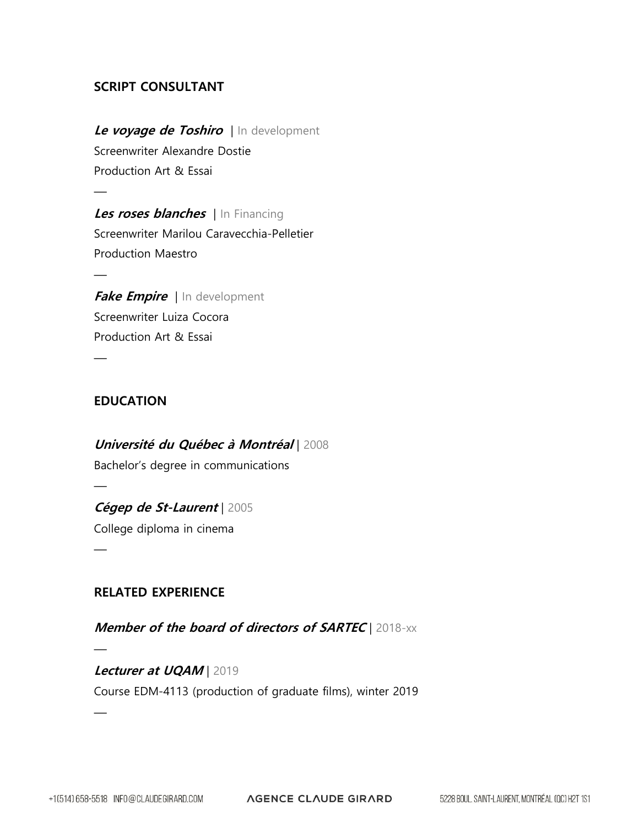#### **SCRIPT CONSULTANT**

**Le voyage de Toshiro** | In development Screenwriter Alexandre Dostie Production Art & Essai

**Les roses blanches** | In Financing Screenwriter Marilou Caravecchia-Pelletier Production Maestro

**Fake Empire** | In development Screenwriter Luiza Cocora Production Art & Essai

#### **EDUCATION**

 $\frac{1}{\sqrt{2}}$ 

—

—

—

—

 $\frac{1}{\sqrt{2}}$ 

**Université du Québec à Montréal** | 2008 Bachelor's degree in communications  $\frac{1}{\sqrt{2}}$ 

**Cégep de St-Laurent** | 2005 College diploma in cinema

#### **RELATED EXPERIENCE**

**Member of the board of directors of SARTEC** | 2018-xx

**Lecturer at UQAM** | 2019 Course EDM-4113 (production of graduate films), winter 2019